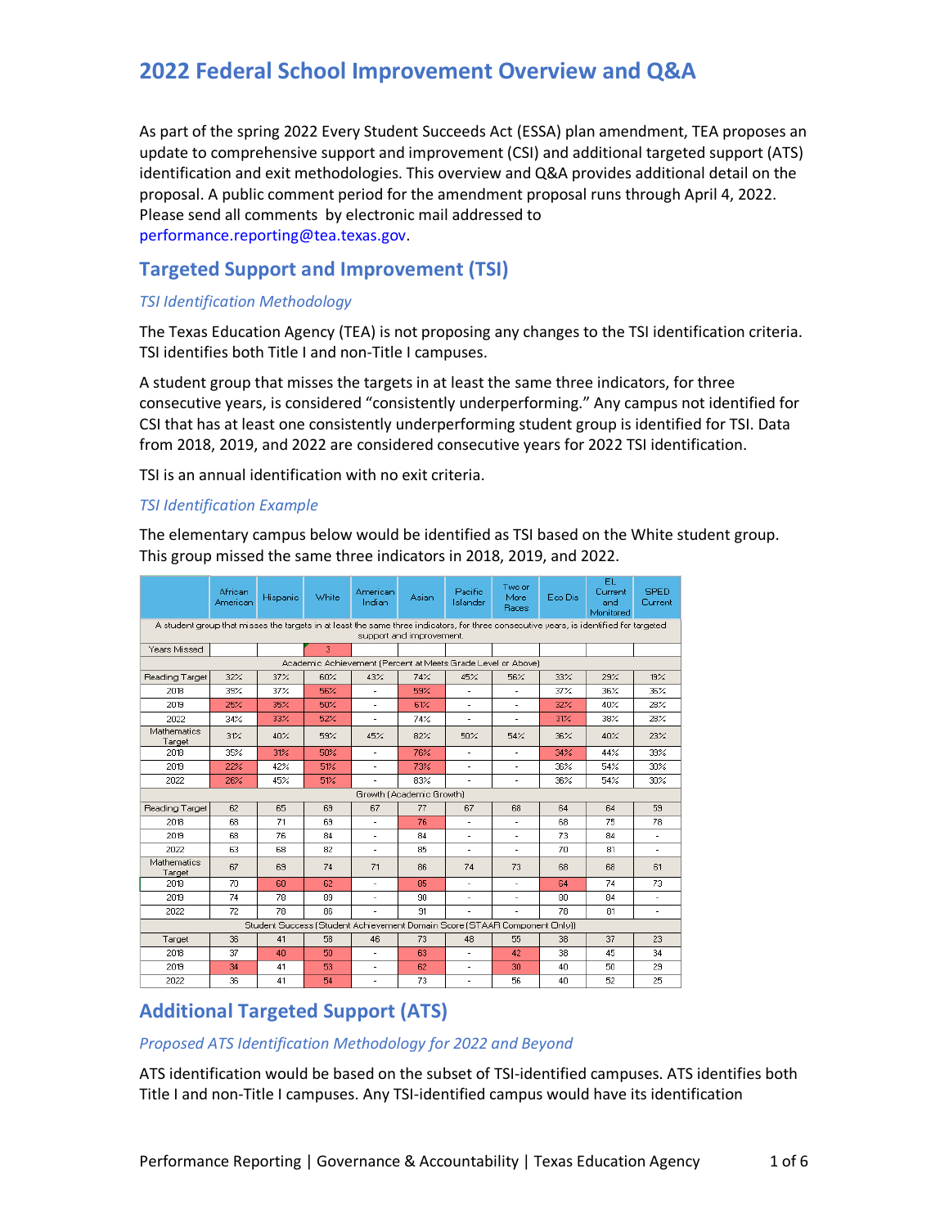As part of the spring 2022 Every Student Succeeds Act (ESSA) plan amendment, TEA proposes an update to comprehensive support and improvement (CSI) and additional targeted support (ATS) identification and exit methodologies. This overview and Q&A provides additional detail on the proposal. A public comment period for the amendment proposal runs through April 4, 2022. Please send all comments by electronic mail addressed to [performance.reporting@tea.texas.gov](mailto:performance.reporting@tea.texas.gov).

# **Targeted Support and Improvement (TSI)**

# *TSI Identification Methodology*

TSI identifies both Title I and non-Title I campuses. The Texas Education Agency (TEA) is not proposing any changes to the TSI identification criteria.

A student group that misses the targets in at least the same three indicators, for three consecutive years, is considered "consistently underperforming." Any campus not identified for CSI that has at least one consistently underperforming student group is identified for TSI. Data from 2018, 2019, and 2022 are considered consecutive years for 2022 TSI identification.

TSI is an annual identification with no exit criteria.

# *TSI Identification Example*

The elementary campus below would be identified as TSI based on the White student group. This group missed the same three indicators in 2018, 2019, and 2022.

|                                                                                                                                                                    | African<br>American | Hispanic | White | American<br>Indian       | Asian | Pacific<br>Islander      | Two or<br>More<br>Races  | Eco Dis | EL<br>Current<br>and<br>Monitored | <b>SPED</b><br>Current |
|--------------------------------------------------------------------------------------------------------------------------------------------------------------------|---------------------|----------|-------|--------------------------|-------|--------------------------|--------------------------|---------|-----------------------------------|------------------------|
| A student group that misses the targets in at least the same three indicators, for three consecutive vears, is identified for targeted<br>support and improvement. |                     |          |       |                          |       |                          |                          |         |                                   |                        |
| Years Missed                                                                                                                                                       |                     |          | з     |                          |       |                          |                          |         |                                   |                        |
| Academic Achievement (Percent at Meets Grade Level or Above)                                                                                                       |                     |          |       |                          |       |                          |                          |         |                                   |                        |
| Reading Target                                                                                                                                                     | 32%                 | 37%      | 60%   | 43%                      | 74%   | 45%                      | 56%                      | 33%     | 29%                               | 19%                    |
| 2018                                                                                                                                                               | 39%                 | 37%      | 56%   | $\overline{\phantom{a}}$ | 59%   | $\overline{\phantom{a}}$ | $\overline{\phantom{a}}$ | 37%     | 36%                               | 36%                    |
| 2019                                                                                                                                                               | 25%                 | 35%      | 50%   |                          | 61%   | ÷.                       |                          | 32%     | 40%                               | 28%                    |
| 2022                                                                                                                                                               | 34%                 | 33%      | 52%   | ٠                        | 74%   | ٠                        | ٠                        | 31%     | 38%                               | 28%                    |
| Mathematics<br>Target                                                                                                                                              | 31%                 | 40%      | 59%   | 45%                      | 82%   | 50%                      | 54%                      | 36%     | 40%                               | 23%                    |
| 2018                                                                                                                                                               | 35%                 | 31%      | 50%   | $\overline{\phantom{a}}$ | 76%   | $\overline{\phantom{a}}$ | ۰                        | 34%     | 44%                               | 39%                    |
| 2019                                                                                                                                                               | 22%                 | 42%      | 51%   | ٠                        | 73%   | ٠                        | ٠                        | 36%     | 54%                               | 30%                    |
| 2022                                                                                                                                                               | 26%                 | 45%      | 51%   | ÷.                       | 83%   | ÷.                       | ٠                        | 36%     | 54%                               | 30%                    |
| Growth (Academic Growth)                                                                                                                                           |                     |          |       |                          |       |                          |                          |         |                                   |                        |
| Reading Target                                                                                                                                                     | 62                  | 65       | 69    | 67                       | 77    | 67                       | 68                       | 64      | 64                                | 59                     |
| 2018                                                                                                                                                               | 68                  | 71       | 69    | ٠                        | 76    | $\overline{\phantom{a}}$ | ٠                        | 68      | 75                                | 78                     |
| 2019                                                                                                                                                               | 68                  | 76       | 84    | $\frac{1}{2}$            | 84    | ٠                        |                          | 73      | 84                                | ٠                      |
| 2022                                                                                                                                                               | 63                  | 68       | 82    | $\overline{\phantom{a}}$ | 85    | $\overline{a}$           | $\overline{\phantom{0}}$ | 70      | 81                                | ٠                      |
| Mathematics<br>Target                                                                                                                                              | 67                  | 69       | 74    | 71                       | 86    | 74                       | 73                       | 68      | 68                                | 61                     |
| 2018                                                                                                                                                               | 70                  | 60       | 62    | $\sim$                   | 85    | $\sim$                   | $\sim$                   | 64      | 74                                | 73                     |
| 2019                                                                                                                                                               | 74                  | 78       | 89    |                          | 90    |                          |                          | 80      | 84                                |                        |
| 2022                                                                                                                                                               | 72                  | 78       | 86    | ٠                        | 91    | ٠                        | $\overline{a}$           | 78      | 81                                | $\overline{a}$         |
| Student Success (Student Achievement Domain Score (STAAR Component Only))                                                                                          |                     |          |       |                          |       |                          |                          |         |                                   |                        |
| Target                                                                                                                                                             | 36                  | 41       | 58    | 46                       | 73    | 48                       | 55                       | 38      | 37                                | 23                     |
| 2018                                                                                                                                                               | 37                  | 40       | 50    | ٠                        | 63    | ٠                        | 42                       | 38      | 45                                | 34                     |
| 2019                                                                                                                                                               | 34                  | 41       | 53    | $\blacksquare$           | 62    | $\sim$                   | 30                       | 40      | 50                                | 29                     |
| 2022                                                                                                                                                               | 36                  | 41       | 54    | $\frac{1}{2}$            | 73    | $\frac{1}{2}$            | 56                       | 40      | 52                                | 25                     |

# **Additional Targeted Support (ATS)**

# *Proposed ATS Identification Methodology for 2022 and Beyond*

ATS identification would be based on the subset of TSI-identified campuses. ATS identifies both Title I and non-Title I campuses. Any TSI-identified campus would have its identification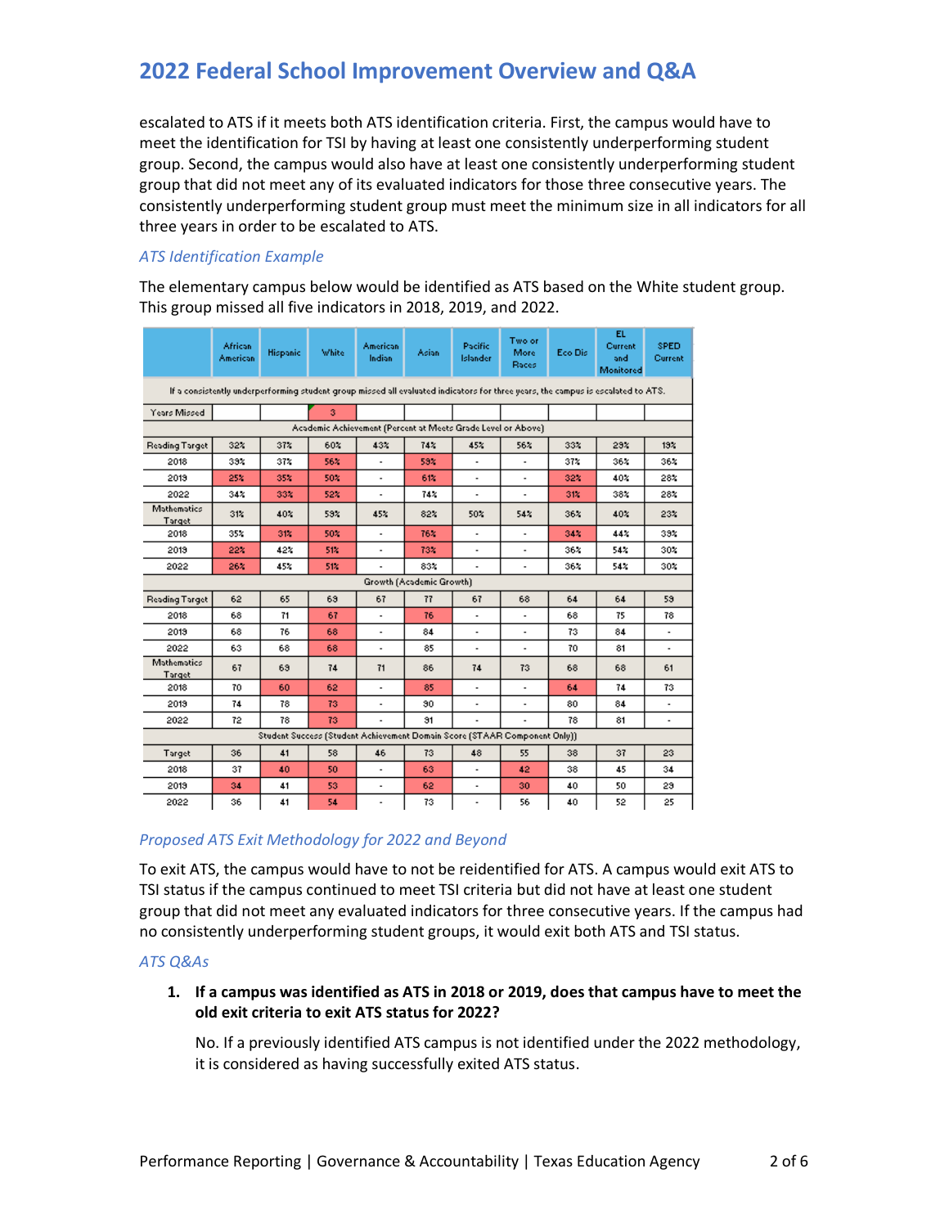escalated to ATS if it meets both ATS identification criteria. First, the campus would have to meet the identification for TSI by having at least one consistently underperforming student group. Second, the campus would also have at least one consistently underperforming student group that did not meet any of its evaluated indicators for those three consecutive years. The consistently underperforming student group must meet the minimum size in all indicators for all three years in order to be escalated to ATS.

# *ATS Identification Example*

The elementary campus below would be identified as ATS based on the White student group. This group missed all five indicators in 2018, 2019, and 2022.

|                                                                                                                                  | African<br><b>American</b> | <b>Hispanic</b> | White | American<br>Indian           | <b>Asian</b>    | Pacific<br>Islander      | Two or<br>More<br>Races  | Eco Dis- | EL.<br>Current<br>and<br>Monitored | <b>SPED</b><br>Current |
|----------------------------------------------------------------------------------------------------------------------------------|----------------------------|-----------------|-------|------------------------------|-----------------|--------------------------|--------------------------|----------|------------------------------------|------------------------|
| If a consistently underperforming student group missed all evaluated indicators for three years, the campus is escalated to ATS. |                            |                 |       |                              |                 |                          |                          |          |                                    |                        |
| Years Missed                                                                                                                     |                            |                 | з.    |                              |                 |                          |                          |          |                                    |                        |
| Academic Achievement (Percent at Meets Grade Level or Above)                                                                     |                            |                 |       |                              |                 |                          |                          |          |                                    |                        |
| Reading Target                                                                                                                   | 32%                        | 37%             | 60%   | 43%                          | 74%             | 45%                      | 56%                      | 33%      | 23%                                | 13 <sub>2</sub>        |
| 2018                                                                                                                             | 33%                        | 37%             | 56%   |                              | 59%             |                          |                          | 37%      | 36%                                | 36%                    |
| 2013                                                                                                                             | 25%                        | 35%             | 50%   | $\overline{\phantom{a}}$     | 61%             | $\blacksquare$           | $\blacksquare$           | 32%      | 40%                                | 28%                    |
| 2022                                                                                                                             | 342                        | 33%             | 52%   | $\overline{\phantom{a}}$     | 74 <sub>4</sub> |                          |                          | 31%      | 38%                                | 28%                    |
| Mathematics<br>Target                                                                                                            | 31%                        | 40%             | 59%   | 45%                          | 82%             | 50%                      | 54%                      | 36%      | 40%                                | 23%                    |
| 2018                                                                                                                             | 35%                        | 31%             | 50%   | ٠                            | 76%             | $\overline{\phantom{a}}$ |                          | 34%      | $44\times$                         | 39%                    |
| 2013                                                                                                                             | 22%                        | 42%             | 51%   | ÷.                           | 73%             | $\overline{a}$           | $\overline{a}$           | 36%      | 54%                                | 30×                    |
| 2022                                                                                                                             | 26%                        | 45%             | 51%   | ٠                            | 83%             | $\overline{\phantom{a}}$ | $\blacksquare$           | 36%      | 544                                | 30×                    |
| Growth (Academic Growth)                                                                                                         |                            |                 |       |                              |                 |                          |                          |          |                                    |                        |
| Reading Target                                                                                                                   | 62                         | 65              | 69    | 67                           | 77              | 67                       | 68                       | 64       | 64                                 | 59.                    |
| 2018                                                                                                                             | 68                         | 71              | 67    | ä,                           | 76              | ä,                       |                          | 68       | 75.                                | 78                     |
| 2019                                                                                                                             | 68                         | 76              | 68.   | $\blacksquare$               | 84              | $\overline{\phantom{a}}$ | $\blacksquare$           | 73.      | 84                                 | $\blacksquare$         |
| 2022                                                                                                                             | 63                         | 68              | 68    | $\overline{\phantom{a}}$     | 85              | $\overline{a}$           | $\overline{\phantom{a}}$ | 70       | 81                                 |                        |
| Mathematics<br>Target                                                                                                            | 67                         | 63              | 74    | 71                           | 86              | 74                       | 73                       | 68       | 68                                 | 61                     |
| 2018                                                                                                                             | 70                         | 60              | 62    | $\overline{\phantom{a}}$     | 85              |                          |                          | 64       | 74                                 | 73.                    |
| 2019                                                                                                                             | 74                         | 78              | 73.   | $\qquad \qquad \blacksquare$ | 90              | $\overline{\phantom{a}}$ | $\frac{1}{2}$            | 80       | 84                                 | $\blacksquare$         |
| 2022                                                                                                                             | 72                         | 78              | 73    |                              | 31              |                          |                          | 78       | 81                                 |                        |
| Student Success (Student Achievement Domain Score (STAAR Component Only)).                                                       |                            |                 |       |                              |                 |                          |                          |          |                                    |                        |
| Target                                                                                                                           | 36                         | 41              | 58    | 46                           | 73              | 48                       | 55                       | 38       | 37                                 | 23                     |
| 2018                                                                                                                             | 37                         | 40              | 50    | $\blacksquare$               | 63              | $\overline{\phantom{a}}$ | 42                       | 38       | 45                                 | 34                     |
| 2019                                                                                                                             | 34                         | 41              | 53.   | ٠                            | 62              | ÷,                       | 30.                      | 40       | 50                                 | 29.                    |
| 2022                                                                                                                             | 36                         | 41              | 54    | $\blacksquare$               | 73              | $\overline{\phantom{a}}$ | 56                       | 40       | 52                                 | 25                     |

# *Proposed ATS Exit Methodology for 2022 and Beyond*

To exit ATS, the campus would have to not be reidentified for ATS. A campus would exit ATS to TSI status if the campus continued to meet TSI criteria but did not have at least one student group that did not meet any evaluated indicators for three consecutive years. If the campus had no consistently underperforming student groups, it would exit both ATS and TSI status.

# *ATS Q&As*

**1. If a campus was identified as ATS in 2018 or 2019, does that campus have to meet the old exit criteria to exit ATS status for 2022?** 

No. If a previously identified ATS campus is not identified under the 2022 methodology, it is considered as having successfully exited ATS status.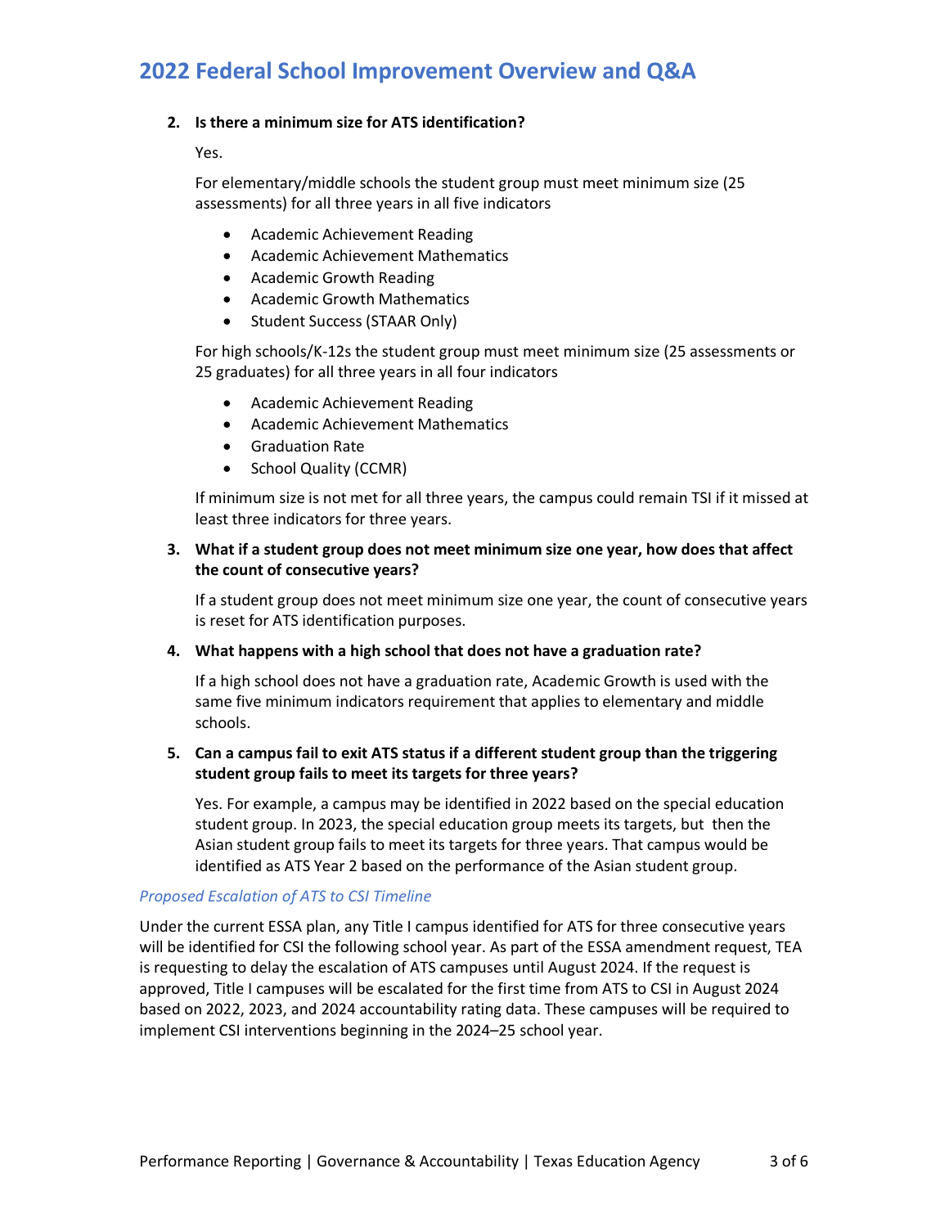### **2. Is there a minimum size for ATS identification?**

Yes.

For elementary/middle schools the student group must meet minimum size (25 assessments) for all three years in all five indicators

- Academic Achievement Reading
- Academic Achievement Mathematics
- Academic Growth Reading
- Academic Growth Mathematics
- Student Success (STAAR Only)

For high schools/K-12s the student group must meet minimum size (25 assessments or 25 graduates) for all three years in all four indicators

- Academic Achievement Reading
- Academic Achievement Mathematics
- Graduation Rate
- School Quality (CCMR)

 least three indicators for three years. If minimum size is not met for all three years, the campus could remain TSI if it missed at

### **3. What if a student group does not meet minimum size one year, how does that affect the count of consecutive years?**

If a student group does not meet minimum size one year, the count of consecutive years is reset for ATS identification purposes.

#### **4. What happens with a high school that does not have a graduation rate?**

If a high school does not have a graduation rate, Academic Growth is used with the same five minimum indicators requirement that applies to elementary and middle schools.

# **5. Can a campus fail to exit ATS status if a different student group than the triggering student group fails to meet its targets for three years?**

 student group. In 2023, the special education group meets its targets, but then the Yes. For example, a campus may be identified in 2022 based on the special education Asian student group fails to meet its targets for three years. That campus would be identified as ATS Year 2 based on the performance of the Asian student group.

#### *Proposed Escalation of ATS to CSI Timeline*

Under the current ESSA plan, any Title I campus identified for ATS for three consecutive years will be identified for CSI the following school year. As part of the ESSA amendment request, TEA is requesting to delay the escalation of ATS campuses until August 2024. If the request is approved, Title I campuses will be escalated for the first time from ATS to CSI in August 2024 based on 2022, 2023, and 2024 accountability rating data. These campuses will be required to implement CSI interventions beginning in the 2024–25 school year.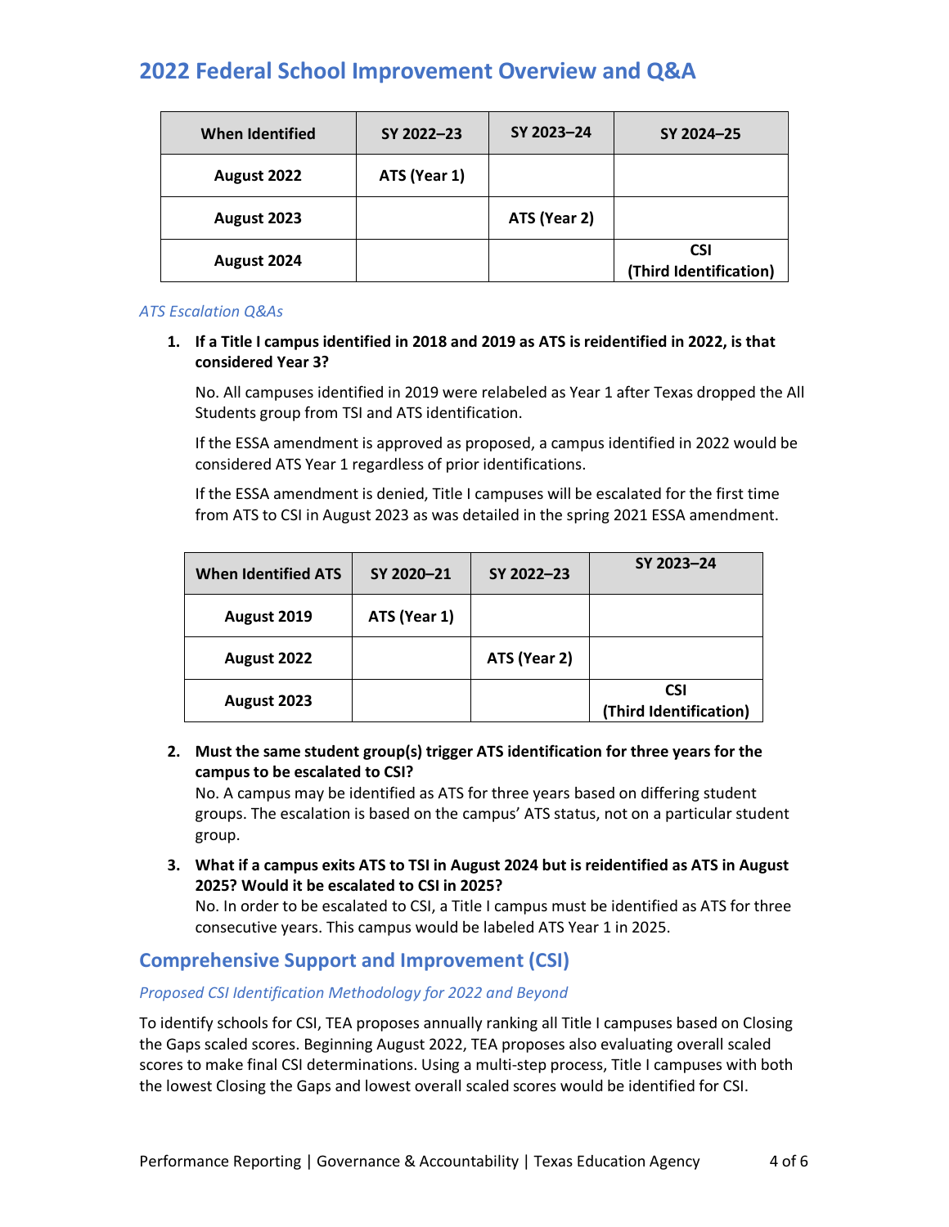| <b>When Identified</b> | SY 2022-23   | SY 2023-24   | SY 2024-25                           |
|------------------------|--------------|--------------|--------------------------------------|
| August 2022            | ATS (Year 1) |              |                                      |
| August 2023            |              | ATS (Year 2) |                                      |
| August 2024            |              |              | <b>CSI</b><br>(Third Identification) |

### *ATS Escalation Q&As*

# **1. If a Title I campus identified in 2018 and 2019 as ATS is reidentified in 2022, is that considered Year 3?**

 No. All campuses identified in 2019 were relabeled as Year 1 after Texas dropped the All Students group from TSI and ATS identification.

If the ESSA amendment is approved as proposed, a campus identified in 2022 would be considered ATS Year 1 regardless of prior identifications.

If the ESSA amendment is denied, Title I campuses will be escalated for the first time from ATS to CSI in August 2023 as was detailed in the spring 2021 ESSA amendment.

| <b>When Identified ATS</b> | SY 2020-21   | SY 2022-23   | SY 2023-24                           |
|----------------------------|--------------|--------------|--------------------------------------|
| August 2019                | ATS (Year 1) |              |                                      |
| August 2022                |              | ATS (Year 2) |                                      |
| August 2023                |              |              | <b>CSI</b><br>(Third Identification) |

# **2. Must the same student group(s) trigger ATS identification for three years for the campus to be escalated to CSI?**

No. A campus may be identified as ATS for three years based on differing student groups. The escalation is based on the campus' ATS status, not on a particular student group.

**3. What if a campus exits ATS to TSI in August 2024 but is reidentified as ATS in August 2025? Would it be escalated to CSI in 2025?** 

No. In order to be escalated to CSI, a Title I campus must be identified as ATS for three consecutive years. This campus would be labeled ATS Year 1 in 2025.

# **Comprehensive Support and Improvement (CSI)**

# *Proposed CSI Identification Methodology for 2022 and Beyond*

To identify schools for CSI, TEA proposes annually ranking all Title I campuses based on Closing the Gaps scaled scores. Beginning August 2022, TEA proposes also evaluating overall scaled scores to make final CSI determinations. Using a multi-step process, Title I campuses with both the lowest Closing the Gaps and lowest overall scaled scores would be identified for CSI.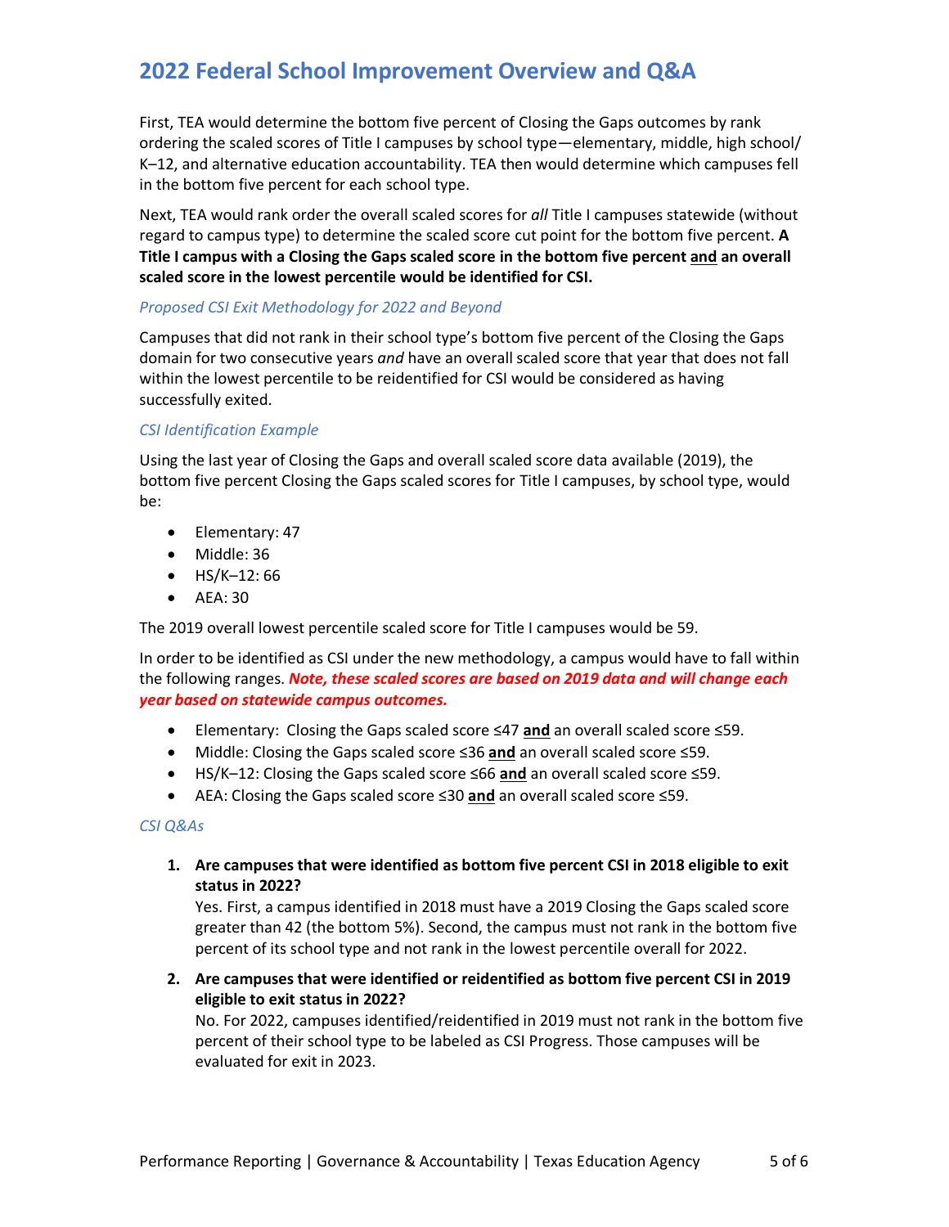First, TEA would determine the bottom five percent of Closing the Gaps outcomes by rank ordering the scaled scores of Title I campuses by school type—elementary, middle, high school/ K–12, and alternative education accountability. TEA then would determine which campuses fell in the bottom five percent for each school type.

 **scaled score in the lowest percentile would be identified for CSI.** Next, TEA would rank order the overall scaled scores for *all* Title I campuses statewide (without regard to campus type) to determine the scaled score cut point for the bottom five percent. **A Title I campus with a Closing the Gaps scaled score in the bottom five percent and an overall** 

# *Proposed CSI Exit Methodology for 2022 and Beyond*

 successfully exited. Campuses that did not rank in their school type's bottom five percent of the Closing the Gaps domain for two consecutive years *and* have an overall scaled score that year that does not fall within the lowest percentile to be reidentified for CSI would be considered as having

# *CSI Identification Example*

 Using the last year of Closing the Gaps and overall scaled score data available (2019), the bottom five percent Closing the Gaps scaled scores for Title I campuses, by school type, would be:

- Elementary: 47
- Middle: 36
- HS/K-12:66
- AEA: 30

The 2019 overall lowest percentile scaled score for Title I campuses would be 59.

In order to be identified as CSI under the new methodology, a campus would have to fall within the following ranges. *Note, these scaled scores are based on 2019 data and will change each year based on statewide campus outcomes.* 

- Elementary: Closing the Gaps scaled score ≤47 **and** an overall scaled score ≤59.
- Middle: Closing the Gaps scaled score ≤36 **and** an overall scaled score ≤59.
- HS/K–12: Closing the Gaps scaled score ≤66 **and** an overall scaled score ≤59.
- AEA: Closing the Gaps scaled score ≤30 **and** an overall scaled score ≤59.

#### *CSI Q&As*

 **1. Are campuses that were identified as bottom five percent CSI in 2018 eligible to exit status in 2022?** 

 Yes. First, a campus identified in 2018 must have a 2019 Closing the Gaps scaled score greater than 42 (the bottom 5%). Second, the campus must not rank in the bottom five percent of its school type and not rank in the lowest percentile overall for 2022.

**2. Are campuses that were identified or reidentified as bottom five percent CSI in 2019 eligible to exit status in 2022?** 

No. For 2022, campuses identified/reidentified in 2019 must not rank in the bottom five percent of their school type to be labeled as CSI Progress. Those campuses will be evaluated for exit in 2023.